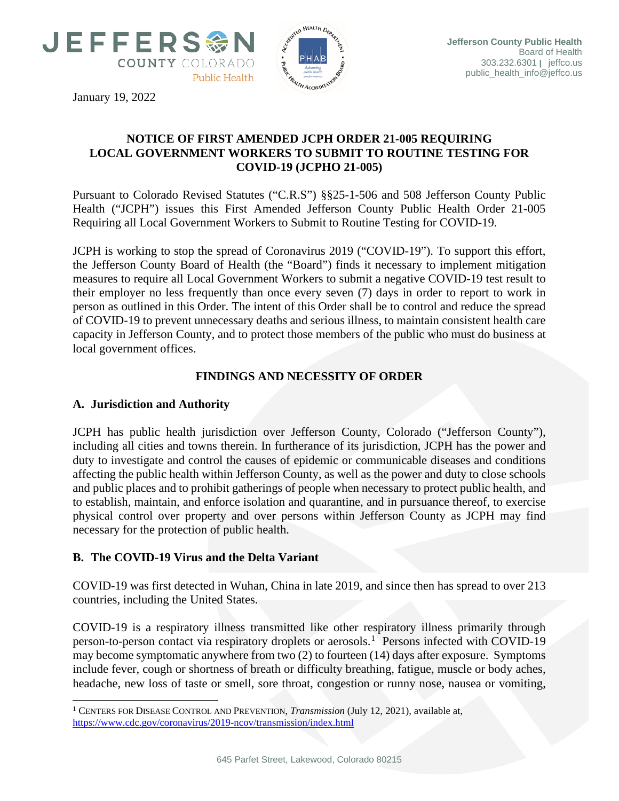



January 19, 2022

# **NOTICE OF FIRST AMENDED JCPH ORDER 21-005 REQUIRING LOCAL GOVERNMENT WORKERS TO SUBMIT TO ROUTINE TESTING FOR COVID-19 (JCPHO 21-005)**

Pursuant to Colorado Revised Statutes ("C.R.S") §§25-1-506 and 508 Jefferson County Public Health ("JCPH") issues this First Amended Jefferson County Public Health Order 21-005 Requiring all Local Government Workers to Submit to Routine Testing for COVID-19.

JCPH is working to stop the spread of Coronavirus 2019 ("COVID-19"). To support this effort, the Jefferson County Board of Health (the "Board") finds it necessary to implement mitigation measures to require all Local Government Workers to submit a negative COVID-19 test result to their employer no less frequently than once every seven (7) days in order to report to work in person as outlined in this Order. The intent of this Order shall be to control and reduce the spread of COVID-19 to prevent unnecessary deaths and serious illness, to maintain consistent health care capacity in Jefferson County, and to protect those members of the public who must do business at local government offices.

# **FINDINGS AND NECESSITY OF ORDER**

# **A. Jurisdiction and Authority**

JCPH has public health jurisdiction over Jefferson County, Colorado ("Jefferson County"), including all cities and towns therein. In furtherance of its jurisdiction, JCPH has the power and duty to investigate and control the causes of epidemic or communicable diseases and conditions affecting the public health within Jefferson County, as well as the power and duty to close schools and public places and to prohibit gatherings of people when necessary to protect public health, and to establish, maintain, and enforce isolation and quarantine, and in pursuance thereof, to exercise physical control over property and over persons within Jefferson County as JCPH may find necessary for the protection of public health.

# **B. The COVID-19 Virus and the Delta Variant**

COVID-19 was first detected in Wuhan, China in late 2019, and since then has spread to over 213 countries, including the United States.

COVID-19 is a respiratory illness transmitted like other respiratory illness primarily through person-to-person contact via respiratory droplets or aerosols.<sup>[1](#page-0-0)</sup> Persons infected with COVID-19 may become symptomatic anywhere from two (2) to fourteen (14) days after exposure. Symptoms include fever, cough or shortness of breath or difficulty breathing, fatigue, muscle or body aches, headache, new loss of taste or smell, sore throat, congestion or runny nose, nausea or vomiting,

<span id="page-0-0"></span><sup>1</sup> CENTERS FOR DISEASE CONTROL AND PREVENTION, *Transmission* (July 12, 2021), available at, <https://www.cdc.gov/coronavirus/2019-ncov/transmission/index.html>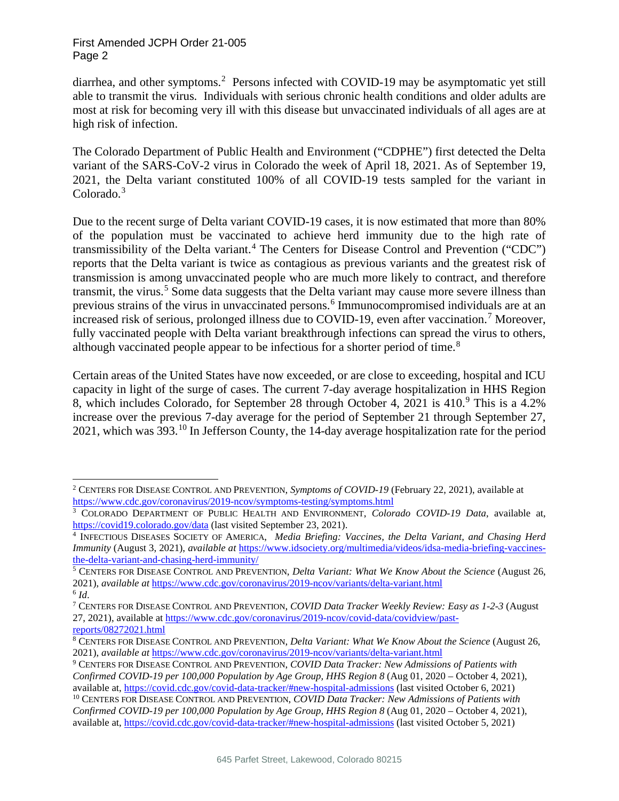diarrhea, and other symptoms.<sup>[2](#page-1-0)</sup> Persons infected with COVID-19 may be asymptomatic yet still able to transmit the virus. Individuals with serious chronic health conditions and older adults are most at risk for becoming very ill with this disease but unvaccinated individuals of all ages are at high risk of infection.

The Colorado Department of Public Health and Environment ("CDPHE") first detected the Delta variant of the SARS-CoV-2 virus in Colorado the week of April 18, 2021. As of September 19, 2021, the Delta variant constituted 100% of all COVID-19 tests sampled for the variant in Colorado.<sup>[3](#page-1-1)</sup>

Due to the recent surge of Delta variant COVID-19 cases, it is now estimated that more than 80% of the population must be vaccinated to achieve herd immunity due to the high rate of transmissibility of the Delta variant.<sup>[4](#page-1-2)</sup> The Centers for Disease Control and Prevention ("CDC") reports that the Delta variant is twice as contagious as previous variants and the greatest risk of transmission is among unvaccinated people who are much more likely to contract, and therefore transmit, the virus.<sup>[5](#page-1-3)</sup> Some data suggests that the Delta variant may cause more severe illness than previous strains of the virus in unvaccinated persons.<sup>[6](#page-1-4)</sup> Immunocompromised individuals are at an increased risk of serious, prolonged illness due to COVID-19, even after vaccination.<sup>[7](#page-1-5)</sup> Moreover, fully vaccinated people with Delta variant breakthrough infections can spread the virus to others, although vaccinated people appear to be infectious for a shorter period of time.<sup>[8](#page-1-6)</sup>

Certain areas of the United States have now exceeded, or are close to exceeding, hospital and ICU capacity in light of the surge of cases. The current 7-day average hospitalization in HHS Region 8, which includes Colorado, for September 28 through October 4, 2021 is 410.<sup>[9](#page-1-7)</sup> This is a 4.2% increase over the previous 7-day average for the period of September 21 through September 27, 2021, which was 393.[10](#page-1-8) In Jefferson County, the 14-day average hospitalization rate for the period

<span id="page-1-0"></span><sup>2</sup> CENTERS FOR DISEASE CONTROL AND PREVENTION, *Symptoms of COVID-19* (February 22, 2021), available at <https://www.cdc.gov/coronavirus/2019-ncov/symptoms-testing/symptoms.html>

<span id="page-1-1"></span><sup>&</sup>lt;sup>3</sup> COLORADO DEPARTMENT OF PUBLIC HEALTH AND ENVIRONMENT, *Colorado COVID-19 Data*, available at, https://covid19.colorado.gov/data (last visited September 23, 2021).

<span id="page-1-2"></span><sup>&</sup>lt;sup>4</sup> INFECTIOUS DISEASES SOCIETY OF AMERICA. *Media Briefing: Vaccines, the Delta Variant, and Chasing Herd Immunity* (August 3, 2021), *available at* [https://www.idsociety.org/multimedia/videos/idsa-media-briefing-vaccines](https://www.idsociety.org/multimedia/videos/idsa-media-briefing-vaccines-the-delta-variant-and-chasing-herd-immunity/)[the-delta-variant-and-chasing-herd-immunity/](https://www.idsociety.org/multimedia/videos/idsa-media-briefing-vaccines-the-delta-variant-and-chasing-herd-immunity/)

<span id="page-1-3"></span><sup>5</sup> CENTERS FOR DISEASE CONTROL AND PREVENTION, *Delta Variant: What We Know About the Science* (August 26, 2021), *available at* <https://www.cdc.gov/coronavirus/2019-ncov/variants/delta-variant.html>  $6$  *Id.* 

<span id="page-1-5"></span><span id="page-1-4"></span><sup>7</sup> CENTERS FOR DISEASE CONTROL AND PREVENTION, *COVID Data Tracker Weekly Review: Easy as 1-2-3* (August 27, 2021), available a[t https://www.cdc.gov/coronavirus/2019-ncov/covid-data/covidview/past](https://www.cdc.gov/coronavirus/2019-ncov/covid-data/covidview/past-reports/08272021.html)[reports/08272021.html](https://www.cdc.gov/coronavirus/2019-ncov/covid-data/covidview/past-reports/08272021.html)

<span id="page-1-6"></span><sup>8</sup> CENTERS FOR DISEASE CONTROL AND PREVENTION, *Delta Variant: What We Know About the Science* (August 26, 2021), *available at* <https://www.cdc.gov/coronavirus/2019-ncov/variants/delta-variant.html>

<span id="page-1-7"></span><sup>9</sup> CENTERS FOR DISEASE CONTROL AND PREVENTION, *COVID Data Tracker: New Admissions of Patients with Confirmed COVID-19 per 100,000 Population by Age Group, HHS Region 8* (Aug 01, 2020 – October 4, 2021), available at,<https://covid.cdc.gov/covid-data-tracker/#new-hospital-admissions> (last visited October 6, 2021)

<span id="page-1-8"></span><sup>10</sup> CENTERS FOR DISEASE CONTROL AND PREVENTION, *COVID Data Tracker: New Admissions of Patients with Confirmed COVID-19 per 100,000 Population by Age Group, HHS Region 8* (Aug 01, 2020 – October 4, 2021), available at,<https://covid.cdc.gov/covid-data-tracker/#new-hospital-admissions> (last visited October 5, 2021)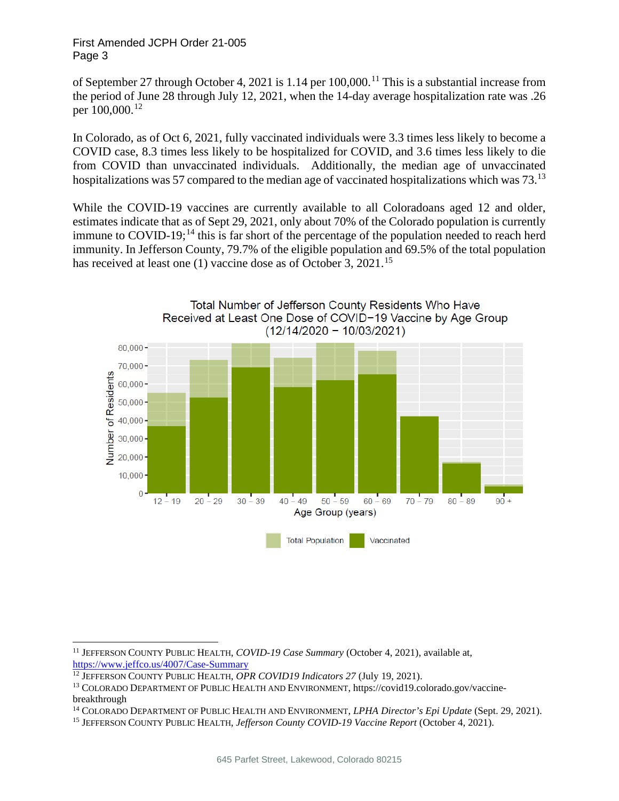of September 27 through October 4, 2021 is 1.14 per 100,000.[11](#page-2-0) This is a substantial increase from the period of June 28 through July 12, 2021, when the 14-day average hospitalization rate was .26 per 100,000.<sup>[12](#page-2-1)</sup>

In Colorado, as of Oct 6, 2021, fully vaccinated individuals were 3.3 times less likely to become a COVID case, 8.3 times less likely to be hospitalized for COVID, and 3.6 times less likely to die from COVID than unvaccinated individuals. Additionally, the median age of unvaccinated hospitalizations was 57 compared to the median age of vaccinated hospitalizations which was 73.<sup>[13](#page-2-2)</sup>

While the COVID-19 vaccines are currently available to all Coloradoans aged 12 and older, estimates indicate that as of Sept 29, 2021, only about 70% of the Colorado population is currently immune to COVID-19;<sup>[14](#page-2-3)</sup> this is far short of the percentage of the population needed to reach herd immunity. In Jefferson County, 79.7% of the eligible population and 69.5% of the total population has received at least one (1) vaccine dose as of October 3, 2021.<sup>[15](#page-2-4)</sup>



<span id="page-2-0"></span><sup>11</sup> JEFFERSON COUNTY PUBLIC HEALTH, *COVID-19 Case Summary* (October 4, 2021), available at, <https://www.jeffco.us/4007/Case-Summary><br><sup>12</sup> JEFFERSON COUNTY PUBLIC HEALTH, *OPR COVID19 Indicators 27* (July 19, 2021).

<span id="page-2-1"></span>

<span id="page-2-2"></span><sup>&</sup>lt;sup>13</sup> COLORADO DEPARTMENT OF PUBLIC HEALTH AND ENVIRONMENT, https://covid19.colorado.gov/vaccinebreakthrough

<span id="page-2-3"></span><sup>14</sup> COLORADO DEPARTMENT OF PUBLIC HEALTH AND ENVIRONMENT, *LPHA Director's Epi Update* (Sept. 29, 2021).

<span id="page-2-4"></span><sup>15</sup> JEFFERSON COUNTY PUBLIC HEALTH, *Jefferson County COVID-19 Vaccine Report* (October 4, 2021).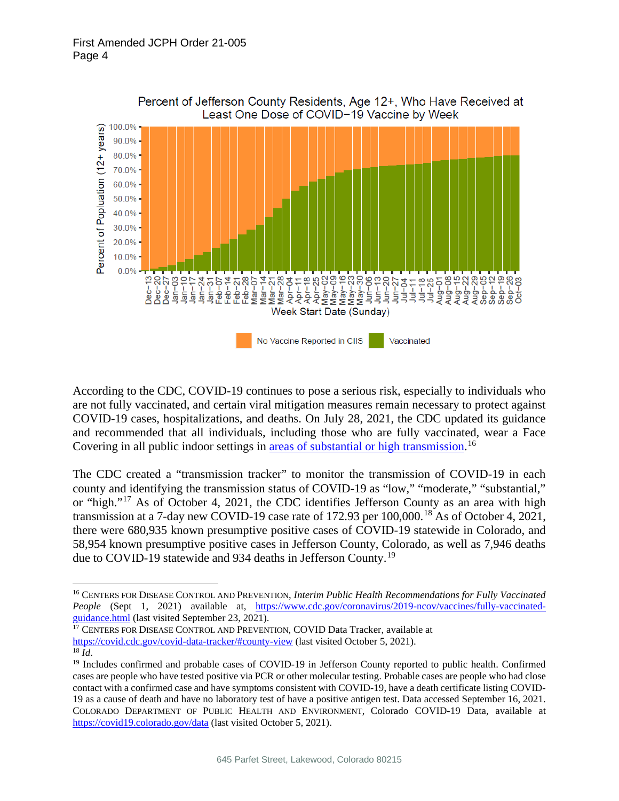

According to the CDC, COVID-19 continues to pose a serious risk, especially to individuals who are not fully vaccinated, and certain viral mitigation measures remain necessary to protect against COVID-19 cases, hospitalizations, and deaths. On July 28, 2021, the CDC updated its guidance and recommended that all individuals, including those who are fully vaccinated, wear a Face Covering in all public indoor settings in **areas of substantial or high transmission**.<sup>[16](#page-3-0)</sup>

The CDC created a "transmission tracker" to monitor the transmission of COVID-19 in each county and identifying the transmission status of COVID-19 as "low," "moderate," "substantial," or "high."[17](#page-3-1) As of October 4, 2021, the CDC identifies Jefferson County as an area with high transmission at a 7-day new COVID-19 case rate of 172.93 per 100,000.<sup>[18](#page-3-2)</sup> As of October 4, 2021, there were 680,935 known presumptive positive cases of COVID-19 statewide in Colorado, and 58,954 known presumptive positive cases in Jefferson County, Colorado, as well as 7,946 deaths due to COVID-[19](#page-3-3) statewide and 934 deaths in Jefferson County.<sup>19</sup>

<span id="page-3-1"></span><sup>17</sup> CENTERS FOR DISEASE CONTROL AND PREVENTION, COVID Data Tracker, available at <https://covid.cdc.gov/covid-data-tracker/#county-view> (last visited October 5, 2021).  $^{18}$   $\tilde{I}$ *d*.

<span id="page-3-0"></span><sup>16</sup> CENTERS FOR DISEASE CONTROL AND PREVENTION, *Interim Public Health Recommendations for Fully Vaccinated People* (Sept 1, 2021) available at, [https://www.cdc.gov/coronavirus/2019-ncov/vaccines/fully-vaccinated](https://www.cdc.gov/coronavirus/2019-ncov/vaccines/fully-vaccinated-guidance.html)[guidance.html](https://www.cdc.gov/coronavirus/2019-ncov/vaccines/fully-vaccinated-guidance.html) (last visited September 23, 2021).

<span id="page-3-3"></span><span id="page-3-2"></span><sup>&</sup>lt;sup>19</sup> Includes confirmed and probable cases of COVID-19 in Jefferson County reported to public health. Confirmed cases are people who have tested positive via PCR or other molecular testing. Probable cases are people who had close contact with a confirmed case and have symptoms consistent with COVID-19, have a death certificate listing COVID-19 as a cause of death and have no laboratory test of have a positive antigen test. Data accessed September 16, 2021. COLORADO DEPARTMENT OF PUBLIC HEALTH AND ENVIRONMENT, Colorado COVID-19 Data, available at <https://covid19.colorado.gov/data> (last visited October 5, 2021).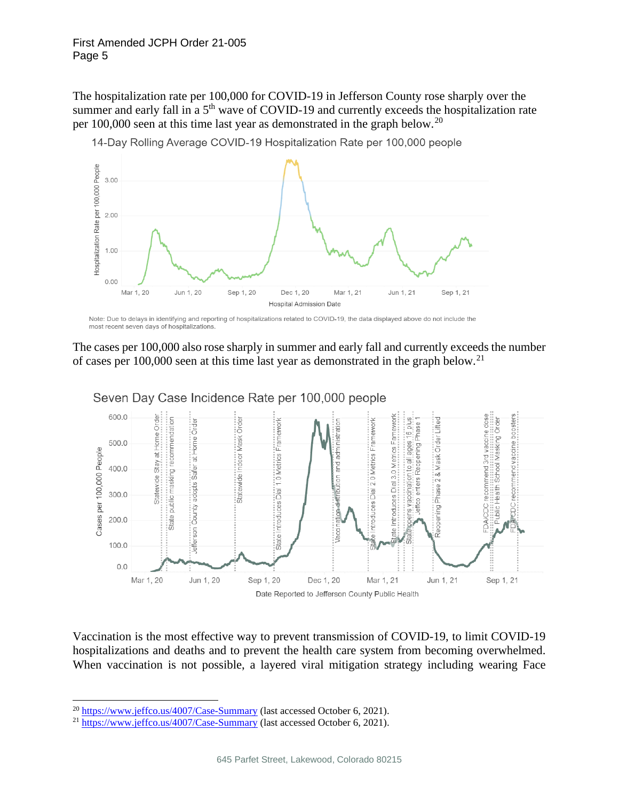The hospitalization rate per 100,000 for COVID-19 in Jefferson County rose sharply over the summer and early fall in a 5<sup>th</sup> wave of COVID-19 and currently exceeds the hospitalization rate per 100,000 seen at this time last year as demonstrated in the graph below.<sup>[20](#page-4-0)</sup>



14-Day Rolling Average COVID-19 Hospitalization Rate per 100,000 people

Note: Due to delays in identifying and reporting of hospitalizations related to COVID-19, the data displayed above do not include the most recent seven days of hospitalizations





Seven Day Case Incidence Rate per 100,000 people

Vaccination is the most effective way to prevent transmission of COVID-19, to limit COVID-19 hospitalizations and deaths and to prevent the health care system from becoming overwhelmed. When vaccination is not possible, a layered viral mitigation strategy including wearing Face

<span id="page-4-1"></span><span id="page-4-0"></span><sup>&</sup>lt;sup>20</sup> <https://www.jeffco.us/4007/Case-Summary> (last accessed October 6, 2021).<br><sup>21</sup> https://www.jeffco.us/4007/Case-Summary (last accessed October 6, 2021).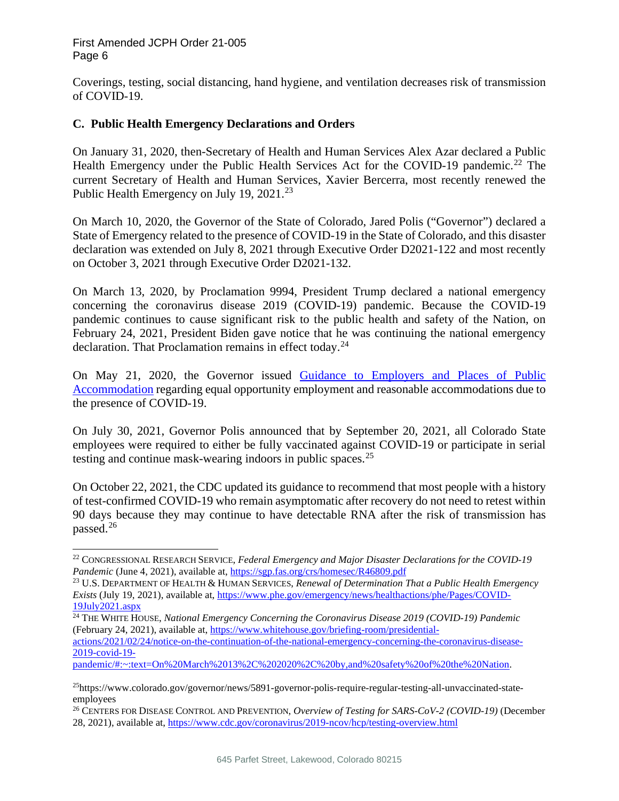Coverings, testing, social distancing, hand hygiene, and ventilation decreases risk of transmission of COVID-19.

# **C. Public Health Emergency Declarations and Orders**

On January 31, 2020, then-Secretary of Health and Human Services Alex Azar declared a Public Health Emergency under the Public Health Services Act for the COVID-19 pandemic.<sup>[22](#page-5-0)</sup> The current Secretary of Health and Human Services, Xavier Bercerra, most recently renewed the Public Health Emergency on July 19, 2021.<sup>[23](#page-5-1)</sup>

On March 10, 2020, the Governor of the State of Colorado, Jared Polis ("Governor") declared a State of Emergency related to the presence of COVID-19 in the State of Colorado, and this disaster declaration was extended on July 8, 2021 through Executive Order D2021-122 and most recently on October 3, 2021 through Executive Order D2021-132.

On March 13, 2020, by Proclamation 9994, President Trump declared a national emergency concerning the coronavirus disease 2019 (COVID-19) pandemic. Because the COVID-19 pandemic continues to cause significant risk to the public health and safety of the Nation, on February 24, 2021, President Biden gave notice that he was continuing the national emergency declaration. That Proclamation remains in effect today.<sup>[24](#page-5-2)</sup>

On May 21, 2020, the Governor issued [Guidance to Employers and Places of Public](https://drive.google.com/file/d/1DSJuV-9finS1_NBnQ8i_02PHQDDIWXRn/view)  [Accommodation](https://drive.google.com/file/d/1DSJuV-9finS1_NBnQ8i_02PHQDDIWXRn/view) regarding equal opportunity employment and reasonable accommodations due to the presence of COVID-19.

On July 30, 2021, Governor Polis announced that by September 20, 2021, all Colorado State employees were required to either be fully vaccinated against COVID-19 or participate in serial testing and continue mask-wearing indoors in public spaces. $25$ 

On October 22, 2021, the CDC updated its guidance to recommend that most people with a history of test-confirmed COVID-19 who remain asymptomatic after recovery do not need to retest within 90 days because they may continue to have detectable RNA after the risk of transmission has passed.<sup>[26](#page-5-4)</sup>

[actions/2021/02/24/notice-on-the-continuation-of-the-national-emergency-concerning-the-coronavirus-disease-](https://www.whitehouse.gov/briefing-room/presidential-actions/2021/02/24/notice-on-the-continuation-of-the-national-emergency-concerning-the-coronavirus-disease-2019-covid-19-pandemic/#:%7E:text=On%20March%2013%2C%202020%2C%20by,and%20safety%20of%20the%20Nation)[2019-covid-19-](https://www.whitehouse.gov/briefing-room/presidential-actions/2021/02/24/notice-on-the-continuation-of-the-national-emergency-concerning-the-coronavirus-disease-2019-covid-19-pandemic/#:%7E:text=On%20March%2013%2C%202020%2C%20by,and%20safety%20of%20the%20Nation)

<span id="page-5-0"></span><sup>22</sup> CONGRESSIONAL RESEARCH SERVICE, *Federal Emergency and Major Disaster Declarations for the COVID-19 Pandemic (June 4, 2021), available at,<https://sgp.fas.org/crs/homesec/R46809.pdf>* 

<span id="page-5-1"></span><sup>23</sup> U.S. DEPARTMENT OF HEALTH & HUMAN SERVICES, *Renewal of Determination That a Public Health Emergency Exists* (July 19, 2021), available at, [https://www.phe.gov/emergency/news/healthactions/phe/Pages/COVID-](https://www.phe.gov/emergency/news/healthactions/phe/Pages/COVID-19July2021.aspx)[19July2021.aspx](https://www.phe.gov/emergency/news/healthactions/phe/Pages/COVID-19July2021.aspx)

<span id="page-5-2"></span><sup>24</sup> THE WHITE HOUSE, *National Emergency Concerning the Coronavirus Disease 2019 (COVID-19) Pandemic* (February 24, 2021), available at, [https://www.whitehouse.gov/briefing-room/presidential-](https://www.whitehouse.gov/briefing-room/presidential-actions/2021/02/24/notice-on-the-continuation-of-the-national-emergency-concerning-the-coronavirus-disease-2019-covid-19-pandemic/#:%7E:text=On%20March%2013%2C%202020%2C%20by,and%20safety%20of%20the%20Nation)

[pandemic/#:~:text=On%20March%2013%2C%202020%2C%20by,and%20safety%20of%20the%20Nation.](https://www.whitehouse.gov/briefing-room/presidential-actions/2021/02/24/notice-on-the-continuation-of-the-national-emergency-concerning-the-coronavirus-disease-2019-covid-19-pandemic/#:%7E:text=On%20March%2013%2C%202020%2C%20by,and%20safety%20of%20the%20Nation)

<span id="page-5-3"></span><sup>25</sup>https://www.colorado.gov/governor/news/5891-governor-polis-require-regular-testing-all-unvaccinated-stateemployees

<span id="page-5-4"></span><sup>26</sup> CENTERS FOR DISEASE CONTROL AND PREVENTION, *Overview of Testing for SARS-CoV-2 (COVID-19)* (December 28, 2021), available at,<https://www.cdc.gov/coronavirus/2019-ncov/hcp/testing-overview.html>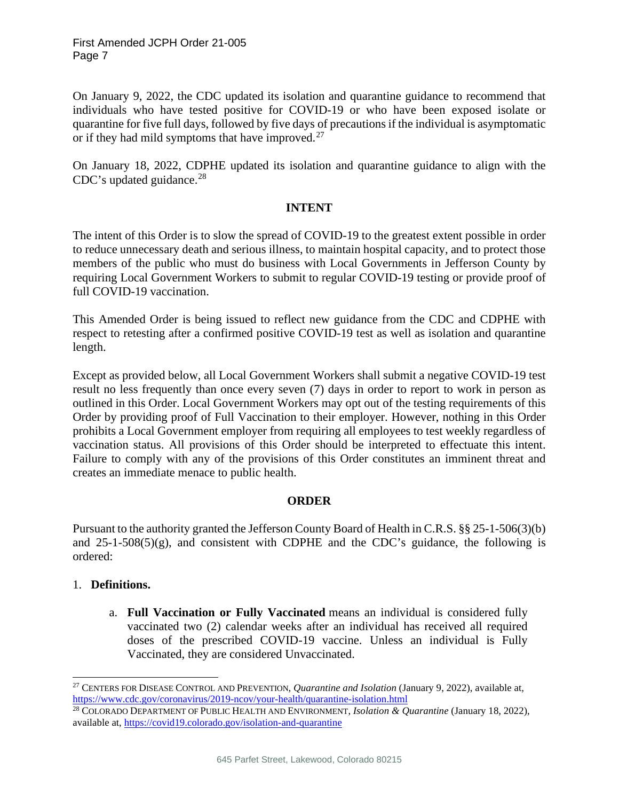On January 9, 2022, the CDC updated its isolation and quarantine guidance to recommend that individuals who have tested positive for COVID-19 or who have been exposed isolate or quarantine for five full days, followed by five days of precautions if the individual is asymptomatic or if they had mild symptoms that have improved.<sup>[27](#page-6-0)</sup>

On January 18, 2022, CDPHE updated its isolation and quarantine guidance to align with the CDC's updated guidance.<sup>[28](#page-6-1)</sup>

#### **INTENT**

The intent of this Order is to slow the spread of COVID-19 to the greatest extent possible in order to reduce unnecessary death and serious illness, to maintain hospital capacity, and to protect those members of the public who must do business with Local Governments in Jefferson County by requiring Local Government Workers to submit to regular COVID-19 testing or provide proof of full COVID-19 vaccination.

This Amended Order is being issued to reflect new guidance from the CDC and CDPHE with respect to retesting after a confirmed positive COVID-19 test as well as isolation and quarantine length.

Except as provided below, all Local Government Workers shall submit a negative COVID-19 test result no less frequently than once every seven (7) days in order to report to work in person as outlined in this Order. Local Government Workers may opt out of the testing requirements of this Order by providing proof of Full Vaccination to their employer. However, nothing in this Order prohibits a Local Government employer from requiring all employees to test weekly regardless of vaccination status. All provisions of this Order should be interpreted to effectuate this intent. Failure to comply with any of the provisions of this Order constitutes an imminent threat and creates an immediate menace to public health.

## **ORDER**

Pursuant to the authority granted the Jefferson County Board of Health in C.R.S. §§ 25-1-506(3)(b) and  $25$ -1-508(5)(g), and consistent with CDPHE and the CDC's guidance, the following is ordered:

## 1. **Definitions.**

a. **Full Vaccination or Fully Vaccinated** means an individual is considered fully vaccinated two (2) calendar weeks after an individual has received all required doses of the prescribed COVID-19 vaccine. Unless an individual is Fully Vaccinated, they are considered Unvaccinated.

<span id="page-6-0"></span><sup>27</sup> CENTERS FOR DISEASE CONTROL AND PREVENTION, *Quarantine and Isolation* (January 9, 2022), available at, <https://www.cdc.gov/coronavirus/2019-ncov/your-health/quarantine-isolation.html>

<span id="page-6-1"></span><sup>28</sup> COLORADO DEPARTMENT OF PUBLIC HEALTH AND ENVIRONMENT, *Isolation & Quarantine* (January 18, 2022), available at,<https://covid19.colorado.gov/isolation-and-quarantine>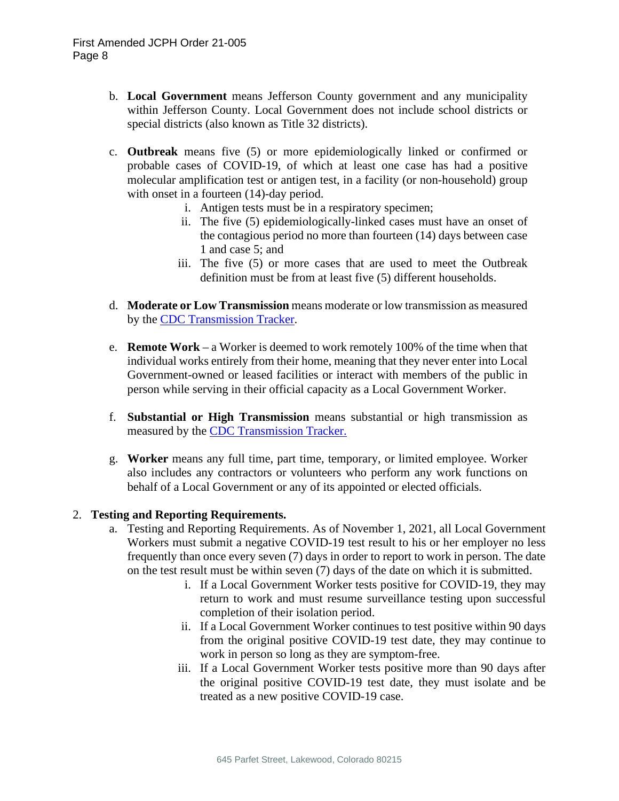- b. **Local Government** means Jefferson County government and any municipality within Jefferson County. Local Government does not include school districts or special districts (also known as Title 32 districts).
- c. **Outbreak** means five (5) or more epidemiologically linked or confirmed or probable cases of COVID-19, of which at least one case has had a positive molecular amplification test or antigen test, in a facility (or non-household) group with onset in a fourteen  $(14)$ -day period.
	- i. Antigen tests must be in a respiratory specimen;
	- ii. The five (5) epidemiologically-linked cases must have an onset of the contagious period no more than fourteen (14) days between case 1 and case 5; and
	- iii. The five (5) or more cases that are used to meet the Outbreak definition must be from at least five (5) different households.
- d. **Moderate or Low Transmission** means moderate or low transmission as measured by the [CDC Transmission Tracker.](https://covid.cdc.gov/covid-data-tracker/#county-view)
- e. **Remote Work** a Worker is deemed to work remotely 100% of the time when that individual works entirely from their home, meaning that they never enter into Local Government-owned or leased facilities or interact with members of the public in person while serving in their official capacity as a Local Government Worker.
- f. **Substantial or High Transmission** means substantial or high transmission as measured by the [CDC Transmission Tracker.](https://covid.cdc.gov/covid-data-tracker/#county-view)
- g. **Worker** means any full time, part time, temporary, or limited employee. Worker also includes any contractors or volunteers who perform any work functions on behalf of a Local Government or any of its appointed or elected officials.

## 2. **Testing and Reporting Requirements.**

- a. Testing and Reporting Requirements. As of November 1, 2021, all Local Government Workers must submit a negative COVID-19 test result to his or her employer no less frequently than once every seven (7) days in order to report to work in person. The date on the test result must be within seven (7) days of the date on which it is submitted.
	- i. If a Local Government Worker tests positive for COVID-19, they may return to work and must resume surveillance testing upon successful completion of their isolation period.
	- ii. If a Local Government Worker continues to test positive within 90 days from the original positive COVID-19 test date, they may continue to work in person so long as they are symptom-free.
	- iii. If a Local Government Worker tests positive more than 90 days after the original positive COVID-19 test date, they must isolate and be treated as a new positive COVID-19 case.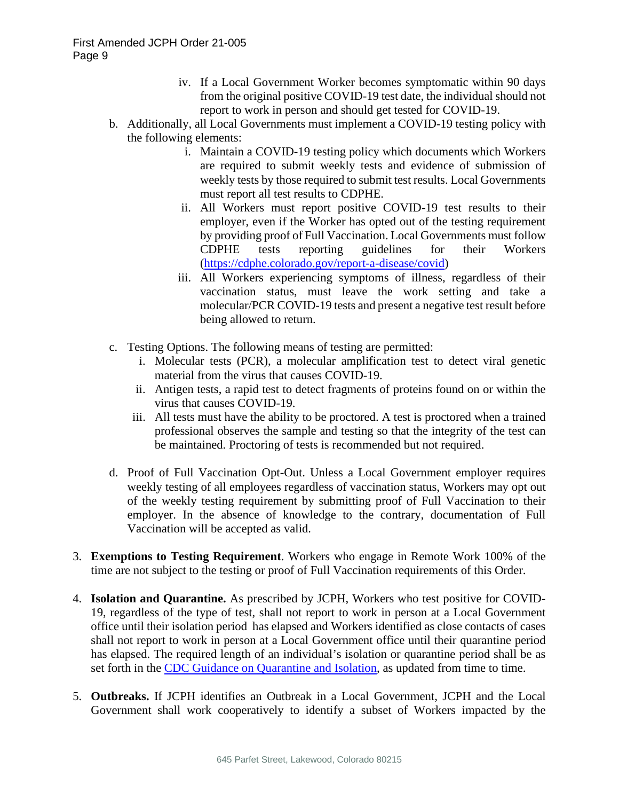- iv. If a Local Government Worker becomes symptomatic within 90 days from the original positive COVID-19 test date, the individual should not report to work in person and should get tested for COVID-19.
- b. Additionally, all Local Governments must implement a COVID-19 testing policy with the following elements:
	- i. Maintain a COVID-19 testing policy which documents which Workers are required to submit weekly tests and evidence of submission of weekly tests by those required to submit test results. Local Governments must report all test results to CDPHE.
	- ii. All Workers must report positive COVID-19 test results to their employer, even if the Worker has opted out of the testing requirement by providing proof of Full Vaccination. Local Governments must follow CDPHE tests reporting guidelines for their Workers [\(https://cdphe.colorado.gov/report-a-disease/covid\)](https://cdphe.colorado.gov/report-a-disease/covid)
	- iii. All Workers experiencing symptoms of illness, regardless of their vaccination status, must leave the work setting and take a molecular/PCR COVID-19 tests and present a negative test result before being allowed to return.
- c. Testing Options. The following means of testing are permitted:
	- i. Molecular tests (PCR), a molecular amplification test to detect viral genetic material from the virus that causes COVID-19.
	- ii. Antigen tests, a rapid test to detect fragments of proteins found on or within the virus that causes COVID-19.
	- iii. All tests must have the ability to be proctored. A test is proctored when a trained professional observes the sample and testing so that the integrity of the test can be maintained. Proctoring of tests is recommended but not required.
- d. Proof of Full Vaccination Opt-Out. Unless a Local Government employer requires weekly testing of all employees regardless of vaccination status, Workers may opt out of the weekly testing requirement by submitting proof of Full Vaccination to their employer. In the absence of knowledge to the contrary, documentation of Full Vaccination will be accepted as valid.
- 3. **Exemptions to Testing Requirement**. Workers who engage in Remote Work 100% of the time are not subject to the testing or proof of Full Vaccination requirements of this Order.
- 4. **Isolation and Quarantine.** As prescribed by JCPH, Workers who test positive for COVID-19, regardless of the type of test, shall not report to work in person at a Local Government office until their isolation period has elapsed and Workers identified as close contacts of cases shall not report to work in person at a Local Government office until their quarantine period has elapsed. The required length of an individual's isolation or quarantine period shall be as set forth in the [CDC Guidance on Quarantine and Isolation,](https://www.cdc.gov/coronavirus/2019-ncov/your-health/quarantine-isolation.html) as updated from time to time.
- 5. **Outbreaks.** If JCPH identifies an Outbreak in a Local Government, JCPH and the Local Government shall work cooperatively to identify a subset of Workers impacted by the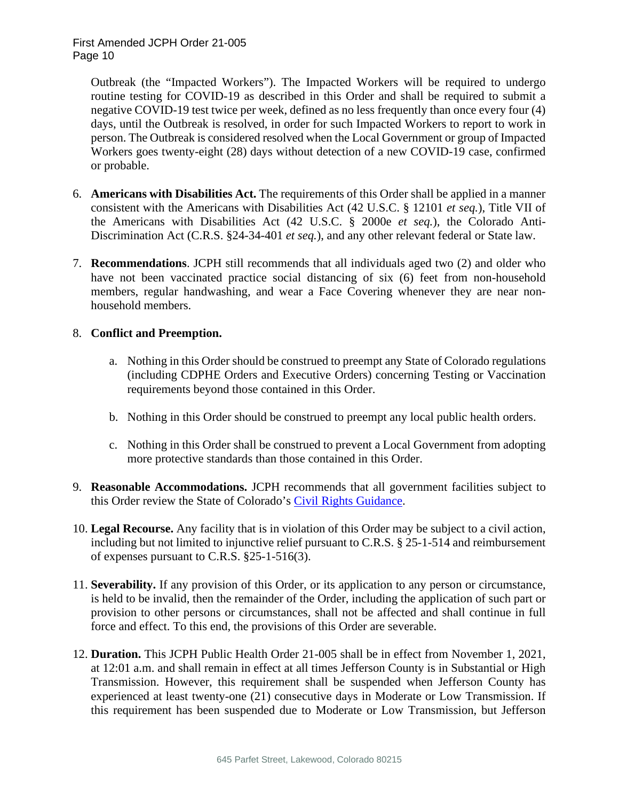Outbreak (the "Impacted Workers"). The Impacted Workers will be required to undergo routine testing for COVID-19 as described in this Order and shall be required to submit a negative COVID-19 test twice per week, defined as no less frequently than once every four (4) days, until the Outbreak is resolved, in order for such Impacted Workers to report to work in person. The Outbreak is considered resolved when the Local Government or group of Impacted Workers goes twenty-eight (28) days without detection of a new COVID-19 case, confirmed or probable.

- 6. **Americans with Disabilities Act.** The requirements of this Order shall be applied in a manner consistent with the Americans with Disabilities Act (42 U.S.C. § 12101 *et seq.*), Title VII of the Americans with Disabilities Act (42 U.S.C. § 2000e *et seq.*), the Colorado Anti-Discrimination Act (C.R.S. §24-34-401 *et seq.*), and any other relevant federal or State law.
- 7. **Recommendations**. JCPH still recommends that all individuals aged two (2) and older who have not been vaccinated practice social distancing of six (6) feet from non-household members, regular handwashing, and wear a Face Covering whenever they are near nonhousehold members.

## 8. **Conflict and Preemption.**

- a. Nothing in this Order should be construed to preempt any State of Colorado regulations (including CDPHE Orders and Executive Orders) concerning Testing or Vaccination requirements beyond those contained in this Order.
- b. Nothing in this Order should be construed to preempt any local public health orders.
- c. Nothing in this Order shall be construed to prevent a Local Government from adopting more protective standards than those contained in this Order.
- 9. **Reasonable Accommodations.** JCPH recommends that all government facilities subject to this Order review the State of Colorado's [Civil Rights Guidance.](https://drive.google.com/file/d/1DSJuV-9finS1_NBnQ8i_02PHQDDIWXRn/view)
- 10. **Legal Recourse.** Any facility that is in violation of this Order may be subject to a civil action, including but not limited to injunctive relief pursuant to C.R.S. § 25-1-514 and reimbursement of expenses pursuant to C.R.S. §25-1-516(3).
- 11. **Severability.** If any provision of this Order, or its application to any person or circumstance, is held to be invalid, then the remainder of the Order, including the application of such part or provision to other persons or circumstances, shall not be affected and shall continue in full force and effect. To this end, the provisions of this Order are severable.
- 12. **Duration.** This JCPH Public Health Order 21-005 shall be in effect from November 1, 2021, at 12:01 a.m. and shall remain in effect at all times Jefferson County is in Substantial or High Transmission. However, this requirement shall be suspended when Jefferson County has experienced at least twenty-one (21) consecutive days in Moderate or Low Transmission. If this requirement has been suspended due to Moderate or Low Transmission, but Jefferson